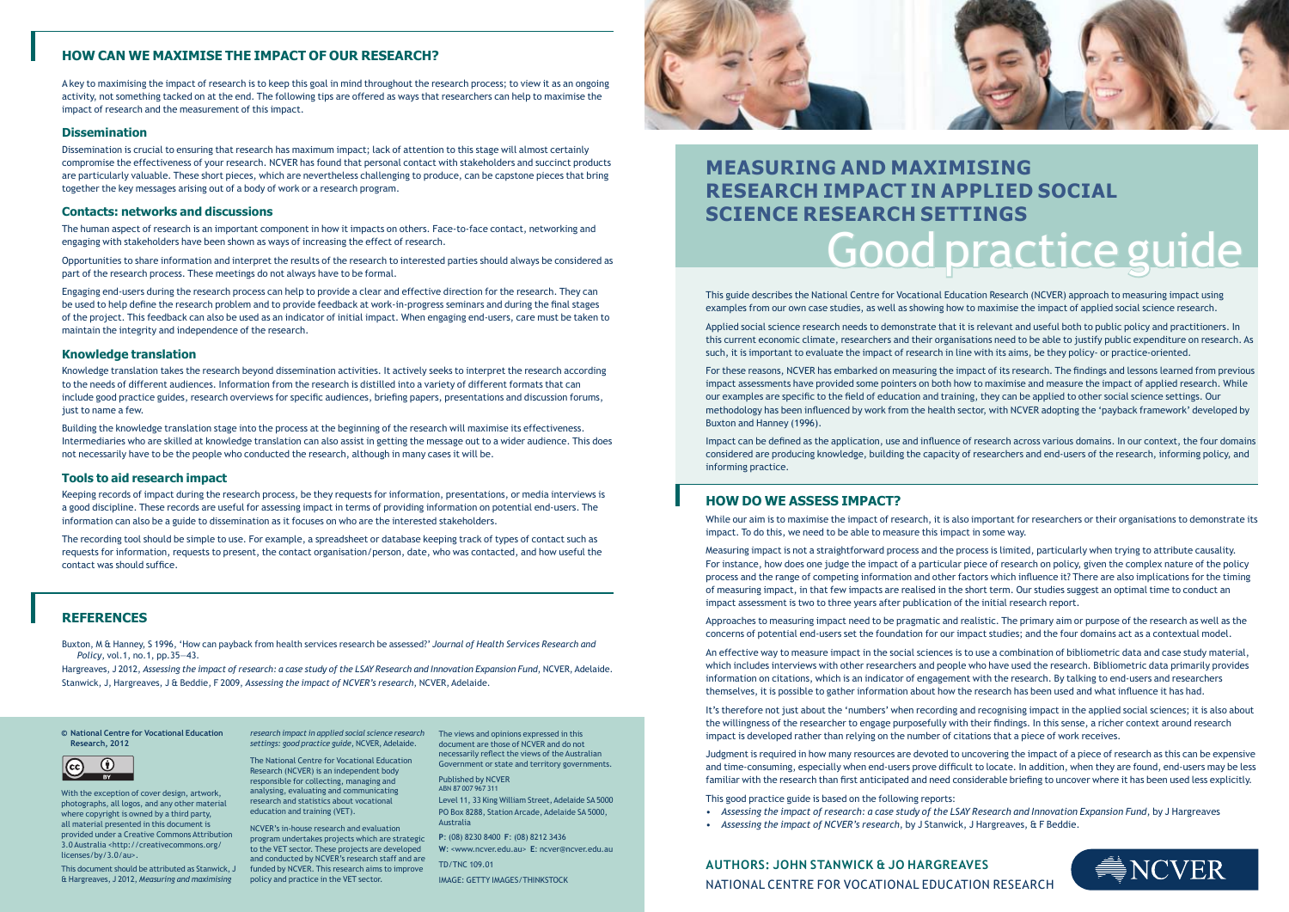A key to maximising the impact of research is to keep this goal in mind throughout the research process; to view it as an ongoing activity, not something tacked on at the end. The following tips are offered as ways that researchers can help to maximise the impact of research and the measurement of this impact.

#### **Dissemination**

Dissemination is crucial to ensuring that research has maximum impact; lack of attention to this stage will almost certainly compromise the effectiveness of your research. NCVER has found that personal contact with stakeholders and succinct products are particularly valuable. These short pieces, which are nevertheless challenging to produce, can be capstone pieces that bring together the key messages arising out of a body of work or a research program.

#### **Contacts: networks and discussions**

Knowledge translation takes the research beyond dissemination activities. It actively seeks to interpret the research according to the needs of different audiences. Information from the research is distilled into a variety of different formats that can include good practice guides, research overviews for specific audiences, briefing papers, presentations and discussion forums, just to name a few.

The human aspect of research is an important component in how it impacts on others. Face-to-face contact, networking and engaging with stakeholders have been shown as ways of increasing the effect of research.

Opportunities to share information and interpret the results of the research to interested parties should always be considered as part of the research process. These meetings do not always have to be formal.

Engaging end-users during the research process can help to provide a clear and effective direction for the research. They can be used to help define the research problem and to provide feedback at work-in-progress seminars and during the final stages of the project. This feedback can also be used as an indicator of initial impact. When engaging end-users, care must be taken to maintain the integrity and independence of the research.

#### **Knowledge translation**

**1.1 CONDECTED AND MAXIMISING AND MAXIMISING RESEARCH IN**<br>
funded by NCVER. This research aim NCVER's in-house research and evaluation program undertakes projects which are strategic to the VET sector. These projects are developed and conducted by NCVER's research staff and are funded by NCVER. This research aims to improve

Building the knowledge translation stage into the process at the beginning of the research will maximise its effectiveness. Intermediaries who are skilled at knowledge translation can also assist in getting the message out to a wider audience. This does not necessarily have to be the people who conducted the research, although in many cases it will be.

#### **Tools to aid research impact**

Keeping records of impact during the research process, be they requests for information, presentations, or media interviews is a good discipline. These records are useful for assessing impact in terms of providing information on potential end-users. The information can also be a guide to dissemination as it focuses on who are the interested stakeholders.

The recording tool should be simple to use. For example, a spreadsheet or database keeping track of types of contact such as requests for information, requests to present, the contact organisation/person, date, who was contacted, and how useful the contact was should suffice.

# **HOW CAN WE MAXIMISE THE IMPACT OF OUR RESEARCH?**

**© National Centre for Vocational Education Research, 2012**



With the exception of cover design, artwork, photographs, all logos, and any other material where copyright is owned by a third party, all material presented in this document is provided under a Creative Commons Attribution 3.0 Australia <http://creativecommons.org/ licenses/by/3.0/au>.

*settings: good practice guide*, NCVER, Adelaide.

The National Centre for Vocational Education Research (NCVER) is an independent body responsible for collecting, managing and analysing, evaluating and communicating research and statistics about vocational education and training (VET).

& Hargreaves, J 2012, *Measuring and maximising*  policy and practice in the VET sector.

*research impact in applied social science research*  The views and opinions expressed in this document are those of NCVER and do not necessarily reflect the views of the Australian Government or state and territory governments.

> Published by NCVER ABN 87 007 967 311

Level 11, 33 King William Street, Adelaide SA 5000 PO Box 8288, Station Arcade, Adelaide SA 5000, Australia

# Good practice guide **MEASURING AND MAXIMISING RESEARCH IMPACT IN APPLIED SOCIAL SCIENCE RESEARCH SETTINGS**

**P**: (08) 8230 8400 **F**: (08) 8212 3436 **W**: <www.ncver.edu.au> **E**: ncver@ncver.edu.au

TD/TNC 109.01

IMAGE: GETTY IMAGES/THINKSTOCK



Buxton, M & Hanney, S 1996, 'How can payback from health services research be assessed?' *Journal of Health Services Research and Policy*, vol.1, no.1, pp.35—43.

Hargreaves, J 2012, *Assessing the impact of research: a case study of the LSAY Research and Innovation Expansion Fund*, NCVER, Adelaide. Stanwick, J, Hargreaves, J & Beddie, F 2009, *Assessing the impact of NCVER's research*, NCVER, Adelaide.

# **REFERENCES**

This guide describes the National Centre for Vocational Education Research (NCVER) approach to measuring impact using examples from our own case studies, as well as showing how to maximise the impact of applied social science research.

Applied social science research needs to demonstrate that it is relevant and useful both to public policy and practitioners. In this current economic climate, researchers and their organisations need to be able to justify public expenditure on research. As such, it is important to evaluate the impact of research in line with its aims, be they policy- or practice-oriented.

For these reasons, NCVER has embarked on measuring the impact of its research. The findings and lessons learned from previous impact assessments have provided some pointers on both how to maximise and measure the impact of applied research. While our examples are specific to the field of education and training, they can be applied to other social science settings. Our methodology has been influenced by work from the health sector, with NCVER adopting the 'payback framework' developed by Buxton and Hanney (1996).

Impact can be defined as the application, use and influence of research across various domains. In our context, the four domains considered are producing knowledge, building the capacity of researchers and end-users of the research, informing policy, and informing practice.

While our aim is to maximise the impact of research, it is also important for researchers or their organisations to demonstrate its impact. To do this, we need to be able to measure this impact in some way.

Measuring impact is not a straightforward process and the process is limited, particularly when trying to attribute causality. For instance, how does one judge the impact of a particular piece of research on policy, given the complex nature of the policy process and the range of competing information and other factors which influence it? There are also implications for the timing of measuring impact, in that few impacts are realised in the short term. Our studies suggest an optimal time to conduct an impact assessment is two to three years after publication of the initial research report.

Approaches to measuring impact need to be pragmatic and realistic. The primary aim or purpose of the research as well as the concerns of potential end-users set the foundation for our impact studies; and the four domains act as a contextual model.

An effective way to measure impact in the social sciences is to use a combination of bibliometric data and case study material, which includes interviews with other researchers and people who have used the research. Bibliometric data primarily provides information on citations, which is an indicator of engagement with the research. By talking to end-users and researchers themselves, it is possible to gather information about how the research has been used and what influence it has had.

It's therefore not just about the 'numbers' when recording and recognising impact in the applied social sciences; it is also about the willingness of the researcher to engage purposefully with their findings. In this sense, a richer context around research impact is developed rather than relying on the number of citations that a piece of work receives.

Judgment is required in how many resources are devoted to uncovering the impact of a piece of research as this can be expensive and time-consuming, especially when end-users prove difficult to locate. In addition, when they are found, end-users may be less familiar with the research than first anticipated and need considerable briefing to uncover where it has been used less explicitly.

This good practice guide is based on the following reports:

• *Assessing the impact of research: a case study of the LSAY Research and Innovation Expansion Fund*, by J Hargreaves



- 
- *Assessing the impact of NCVER's research*, by J Stanwick, J Hargreaves, & F Beddie.

NATIONAL CENTRE FOR VOCATIONAL EDUCATION RESEARCH **AUTHORS: JOHN STANWICK & JO HARGREAVES**

# **HOW DO WE ASSESS IMPACT?**